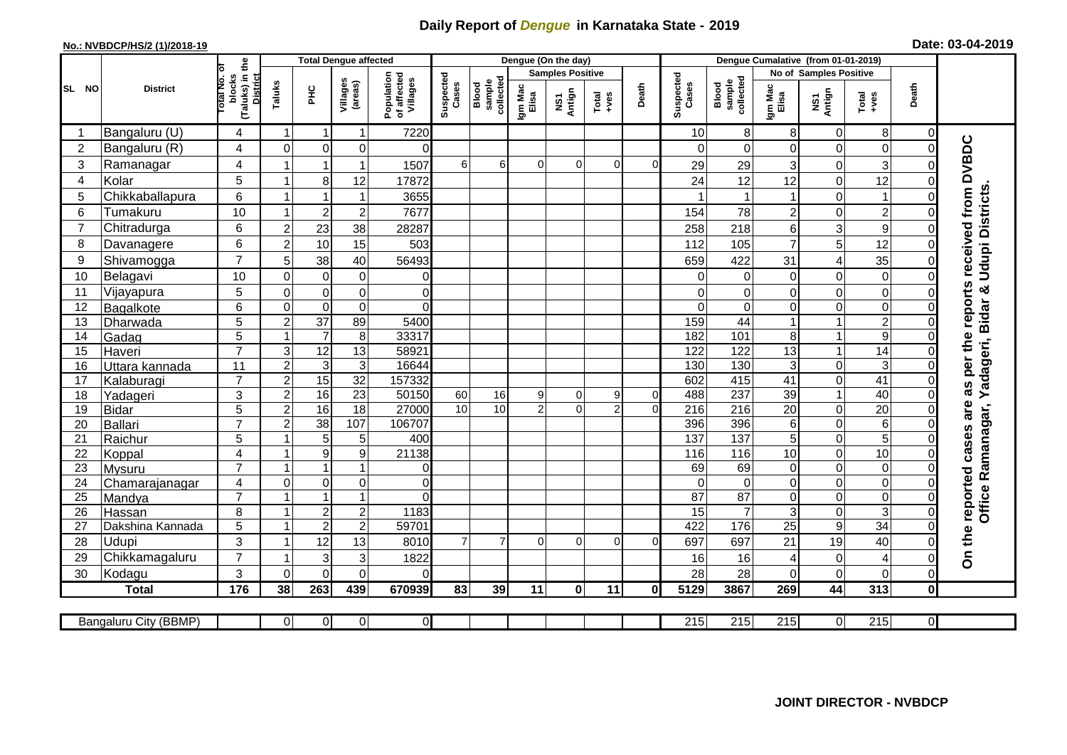## **Daily Report of** *Dengue* **in Karnataka State - 2019**

## **No.: NVBDCP/HS/2 (1)/2018-19**

| Date: 03-04-2019 |  |  |  |
|------------------|--|--|--|
|------------------|--|--|--|

|                 |                           |                                       |                | <b>Total Dengue affected</b>           |                           |                                       |                         |                              |                  | Dengue (On the day)              |                |             |                    |                                   |                         |                            |                               |                         |                                        |
|-----------------|---------------------------|---------------------------------------|----------------|----------------------------------------|---------------------------|---------------------------------------|-------------------------|------------------------------|------------------|----------------------------------|----------------|-------------|--------------------|-----------------------------------|-------------------------|----------------------------|-------------------------------|-------------------------|----------------------------------------|
|                 |                           | ъ                                     |                |                                        |                           |                                       | <b>Samples Positive</b> |                              |                  |                                  |                |             |                    |                                   | No of Samples Positive  |                            |                               |                         |                                        |
| SL NO           | <b>District</b>           | (Taluks) in the<br>blocks<br>otal No. | Taluks         | È                                      | Villages<br>(areas)       | Population<br>of affected<br>Villages | Suspected<br>Cases      | sample<br>collected<br>Blood | Igm Mac<br>Elisa | Antign<br>$\overline{\text{MS}}$ | Total<br>+ves  | Death       | Suspected<br>Cases | collected<br>sample<br>Blood      | Igm Mac<br>Elisa        | NS1<br>Antign              | Total<br>+ves                 | Death                   |                                        |
| -1              | Bangaluru (U)             | 4                                     | 1              | $\mathbf 1$                            | $\mathbf{1}$              | 7220                                  |                         |                              |                  |                                  |                |             | 10                 | 8                                 | 8                       | 0                          | 8                             | 0                       |                                        |
| $\overline{2}$  | Bangaluru (R)             | 4                                     | $\mathbf 0$    | $\mathbf 0$                            | 0                         | $\Omega$                              |                         |                              |                  |                                  |                |             | $\Omega$           | $\mathbf 0$                       | 0                       | $\mathbf 0$                | $\mathbf 0$                   | $\Omega$                |                                        |
| 3               | Ramanagar                 | $\overline{4}$                        | $\overline{1}$ | 1                                      | $\mathbf{1}$              | 1507                                  | $6 \overline{6}$        | 6                            | $\Omega$         | $\mathbf 0$                      | $\overline{0}$ | $\Omega$    | 29                 | 29                                | 3                       | $\mathbf 0$                | 3                             | $\Omega$                | as per the reports received from DVBDC |
| 4               | Kolar                     | 5                                     | 1              | 8                                      | 12                        | 17872                                 |                         |                              |                  |                                  |                |             | 24                 | 12                                | 12                      | $\mathbf 0$                | 12                            | $\Omega$                |                                        |
| 5               | Chikkaballapura           | $6\phantom{1}$                        | $\mathbf{1}$   | $\overline{1}$                         | $\mathbf 1$               | 3655                                  |                         |                              |                  |                                  |                |             |                    | $\mathbf 1$                       | $\mathbf 1$             | $\mathbf 0$                | $\overline{1}$                | $\Omega$                |                                        |
| 6               | Tumakuru                  | 10                                    | $\mathbf 1$    | $\mathbf 2$                            | $\mathbf 2$               | 7677                                  |                         |                              |                  |                                  |                |             | 154                | 78                                | $\overline{\mathbf{c}}$ | 0                          | $\overline{c}$                | $\Omega$                | <b>Udupi Districts</b>                 |
| $\overline{7}$  | Chitradurga               | 6                                     | $\overline{c}$ | 23                                     | 38                        | 28287                                 |                         |                              |                  |                                  |                |             | 258                | 218                               | 6                       | 3                          | $\overline{9}$                | $\Omega$                |                                        |
| 8               | Davanagere                | 6                                     | $\overline{c}$ | 10                                     | 15                        | 503                                   |                         |                              |                  |                                  |                |             | 112                | 105                               | $\overline{7}$          | 5                          | 12                            | $\mathbf 0$             |                                        |
| 9               | Shivamogga                | $\overline{7}$                        | 5              | 38                                     | 40                        | 56493                                 |                         |                              |                  |                                  |                |             | 659                | 422                               | 31                      | 4                          | 35                            | 0                       |                                        |
| 10              | Belagavi                  | 10                                    | $\overline{0}$ | $\mathbf 0$                            | $\mathbf 0$               | $\overline{0}$                        |                         |                              |                  |                                  |                |             | $\Omega$           | $\overline{0}$                    | $\Omega$                | $\mathbf 0$                | $\mathbf 0$                   | $\Omega$                |                                        |
| 11              | Vijayapura                | 5                                     | $\mathbf 0$    | $\mathbf 0$                            | $\mathsf{O}\xspace$       | $\overline{0}$                        |                         |                              |                  |                                  |                |             | 0                  | $\Omega$                          | 0                       | $\mathbf 0$                | $\mathbf 0$                   | $\Omega$                | ×                                      |
| 12              | Bagalkote                 | $6\phantom{1}$                        | $\overline{0}$ | $\pmb{0}$                              | $\mathbf 0$               | $\Omega$                              |                         |                              |                  |                                  |                |             | $\Omega$           | $\overline{0}$                    | $\overline{0}$          | 0                          | $\overline{0}$                | $\Omega$                | adageri, Bidar                         |
| $\overline{13}$ | Dharwada                  | 5                                     | $\overline{2}$ | 37                                     | 89                        | 5400                                  |                         |                              |                  |                                  |                |             | 159                | 44                                |                         | 1                          | $\overline{2}$                | $\mathbf 0$             |                                        |
| 14              | Gadag                     | $\overline{5}$                        | $\overline{1}$ | $\overline{7}$                         | 8                         | 33317                                 |                         |                              |                  |                                  |                |             | 182                | 101                               | 8                       | $\mathbf{1}$               | $\overline{9}$                | $\Omega$                |                                        |
| 15              | Haveri                    | $\overline{7}$                        | 3              | $\overline{12}$                        | 13                        | 58921                                 |                         |                              |                  |                                  |                |             | 122                | 122                               | 13                      | 1                          | $\overline{14}$               | $\Omega$                |                                        |
| 16              | Uttara kannada            | 11                                    | $\overline{2}$ | $\sqrt{3}$                             | $\mathbf{3}$              | 16644                                 |                         |                              |                  |                                  |                |             | 130                | 130                               | $\mathbf{3}$            | $\mathbf 0$                | $\overline{3}$                | $\Omega$                |                                        |
| 17              | Kalaburagi                | $\overline{7}$                        | $\overline{c}$ | 15                                     | 32                        | 157332                                |                         |                              |                  |                                  |                |             | 602                | 415                               | 41                      | $\mathbf 0$                | $\overline{41}$               | $\Omega$                |                                        |
| 18              | Yadageri                  | 3                                     | $\overline{c}$ | 16                                     | 23                        | 50150                                 | 60                      | 16                           | 9                | 0                                | 9              | $\mathbf 0$ | 488                | 237                               | 39                      | $\mathbf{1}$               | 40                            | $\Omega$                | ≻                                      |
| 19              | <b>Bidar</b>              | 5                                     | $\overline{a}$ | 16                                     | 18                        | 27000                                 | 10                      | 10                           | $\overline{2}$   | $\Omega$                         | $\overline{2}$ | $\Omega$    | 216                | 216                               | 20                      | 0                          | 20                            | $\Omega$                | are                                    |
| 20              | <b>Ballari</b>            | $\overline{7}$                        | $\overline{c}$ | $\overline{38}$                        | 107                       | 106707                                |                         |                              |                  |                                  |                |             | 396                | 396                               | 6                       | $\mathbf 0$                | 6                             | $\Omega$                |                                        |
| 21              | Raichur                   | 5                                     | 1              | $\overline{5}$                         | $\sqrt{5}$                | 400                                   |                         |                              |                  |                                  |                |             | 137                | $\overline{137}$                  | $\overline{5}$          | $\overline{0}$             | $\overline{5}$                | $\Omega$                | Office Ramanagar,                      |
| 22              | Koppal                    | $\overline{4}$                        | -1             | $\boldsymbol{9}$                       | $\boldsymbol{9}$          | 21138                                 |                         |                              |                  |                                  |                |             | 116                | 116                               | 10                      | $\mathbf 0$                | 10                            | $\Omega$                |                                        |
| 23              | Mysuru                    | $\overline{7}$                        | $\mathbf{1}$   | $\mathbf{1}$                           | $\mathbf{1}$              | $\overline{0}$                        |                         |                              |                  |                                  |                |             | 69                 | 69                                | $\mathbf 0$             | $\mathbf 0$                | $\pmb{0}$                     | $\Omega$                |                                        |
| 24              | Chamarajanagar            | $\overline{4}$<br>$\overline{7}$      | $\mathbf 0$    | $\mathbf 0$<br>$\overline{\mathbf{1}}$ | $\mathsf{O}\xspace$<br>1  | $\overline{0}$<br>$\Omega$            |                         |                              |                  |                                  |                |             | $\Omega$           | $\overline{0}$                    | $\mathbf 0$             | 0                          | $\pmb{0}$                     | $\Omega$                |                                        |
| 25              | Mandya                    | 8                                     | $\mathbf{1}$   |                                        |                           | 1183                                  |                         |                              |                  |                                  |                |             | $\overline{87}$    | $\overline{87}$<br>$\overline{7}$ | 0                       | $\mathbf 0$<br>$\mathbf 0$ | $\mathsf 0$<br>$\overline{3}$ | $\Omega$<br>$\mathbf 0$ |                                        |
| 26              | Hassan                    |                                       | 1              | $\boldsymbol{2}$<br>$\overline{2}$     | $\sqrt{2}$<br>$\mathbf 2$ | 59701                                 |                         |                              |                  |                                  |                |             | 15<br>422          | 176                               | $\mathbf{3}$<br>25      | 9                          | $\overline{34}$               | $\Omega$                |                                        |
| 27<br>28        | Dakshina Kannada<br>Udupi | 5<br>3                                | $\mathbf{1}$   | 12                                     | 13                        | 8010                                  | $\overline{7}$          | $\overline{7}$               | $\Omega$         | $\Omega$                         | $\Omega$       | $\Omega$    | 697                | 697                               | 21                      | 19                         | 40                            | $\Omega$                |                                        |
| 29              | Chikkamagaluru            | $\overline{7}$                        | $\mathbf{1}$   | 3                                      | 3                         | 1822                                  |                         |                              |                  |                                  |                |             | 16                 | 16                                | 4                       | $\mathbf 0$                | 4                             | $\Omega$                | On the reported cases                  |
| 30              | Kodagu                    | 3                                     | $\Omega$       | $\overline{0}$                         | $\overline{0}$            | $\Omega$                              |                         |                              |                  |                                  |                |             | 28                 | 28                                | $\Omega$                | $\mathbf 0$                | $\mathbf 0$                   | $\pmb{0}$               |                                        |
|                 | <b>Total</b>              | 176                                   | 38             | $\overline{263}$                       | 439                       | 670939                                | 83                      | 39                           | 11               | $\mathbf{0}$                     | 11             | 0           | 5129               | 3867                              | 269                     | 44                         | 313                           | $\mathbf{0}$            |                                        |
|                 |                           |                                       |                |                                        |                           |                                       |                         |                              |                  |                                  |                |             |                    |                                   |                         |                            |                               |                         |                                        |
|                 | Bangaluru City (BBMP)     |                                       | $\overline{0}$ | $\overline{0}$                         | $\overline{0}$            | $\overline{0}$                        |                         |                              |                  |                                  |                |             | 215                | $\overline{215}$                  | 215                     | 0                          | 215                           | $\overline{0}$          |                                        |